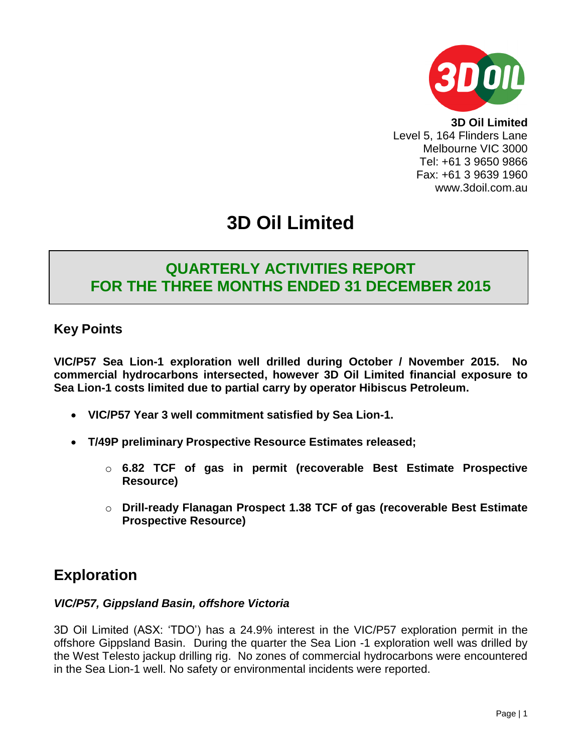

**3D Oil Limited** Level 5, 164 Flinders Lane Melbourne VIC 3000 Tel: +61 3 9650 9866 Fax: +61 3 9639 1960 www.3doil.com.au

# **3D Oil Limited**

# **QUARTERLY ACTIVITIES REPORT FOR THE THREE MONTHS ENDED 31 DECEMBER 2015**

### **Key Points**

**VIC/P57 Sea Lion-1 exploration well drilled during October / November 2015. No commercial hydrocarbons intersected, however 3D Oil Limited financial exposure to Sea Lion-1 costs limited due to partial carry by operator Hibiscus Petroleum.**

- **VIC/P57 Year 3 well commitment satisfied by Sea Lion-1.**
- **T/49P preliminary Prospective Resource Estimates released;** 
	- o **6.82 TCF of gas in permit (recoverable Best Estimate Prospective Resource)**
	- o **Drill-ready Flanagan Prospect 1.38 TCF of gas (recoverable Best Estimate Prospective Resource)**

# **Exploration**

### *VIC/P57, Gippsland Basin, offshore Victoria*

3D Oil Limited (ASX: 'TDO') has a 24.9% interest in the VIC/P57 exploration permit in the offshore Gippsland Basin. During the quarter the Sea Lion -1 exploration well was drilled by the West Telesto jackup drilling rig. No zones of commercial hydrocarbons were encountered in the Sea Lion-1 well. No safety or environmental incidents were reported.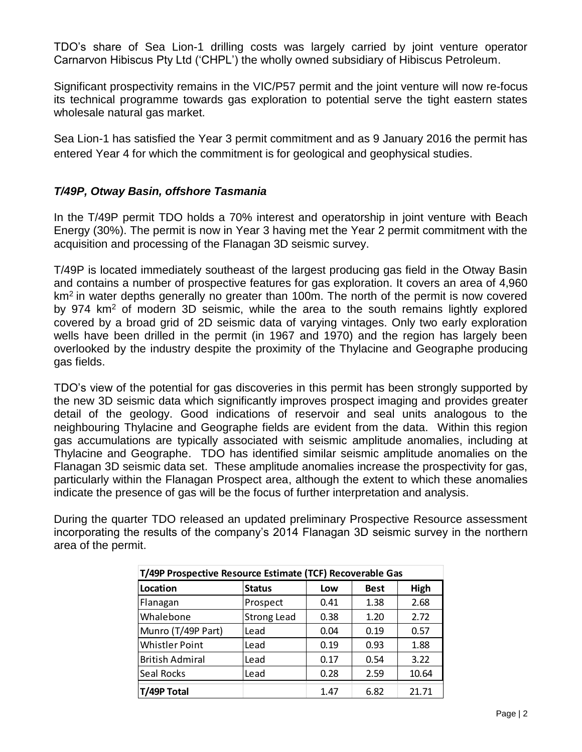TDO's share of Sea Lion-1 drilling costs was largely carried by joint venture operator Carnarvon Hibiscus Pty Ltd ('CHPL') the wholly owned subsidiary of Hibiscus Petroleum.

Significant prospectivity remains in the VIC/P57 permit and the joint venture will now re-focus its technical programme towards gas exploration to potential serve the tight eastern states wholesale natural gas market.

Sea Lion-1 has satisfied the Year 3 permit commitment and as 9 January 2016 the permit has entered Year 4 for which the commitment is for geological and geophysical studies.

### *T/49P, Otway Basin, offshore Tasmania*

In the T/49P permit TDO holds a 70% interest and operatorship in joint venture with Beach Energy (30%). The permit is now in Year 3 having met the Year 2 permit commitment with the acquisition and processing of the Flanagan 3D seismic survey.

T/49P is located immediately southeast of the largest producing gas field in the Otway Basin and contains a number of prospective features for gas exploration. It covers an area of 4,960  $km<sup>2</sup>$  in water depths generally no greater than 100m. The north of the permit is now covered by 974 km<sup>2</sup> of modern 3D seismic, while the area to the south remains lightly explored covered by a broad grid of 2D seismic data of varying vintages. Only two early exploration wells have been drilled in the permit (in 1967 and 1970) and the region has largely been overlooked by the industry despite the proximity of the Thylacine and Geographe producing gas fields.

TDO's view of the potential for gas discoveries in this permit has been strongly supported by the new 3D seismic data which significantly improves prospect imaging and provides greater detail of the geology. Good indications of reservoir and seal units analogous to the neighbouring Thylacine and Geographe fields are evident from the data. Within this region gas accumulations are typically associated with seismic amplitude anomalies, including at Thylacine and Geographe. TDO has identified similar seismic amplitude anomalies on the Flanagan 3D seismic data set. These amplitude anomalies increase the prospectivity for gas, particularly within the Flanagan Prospect area, although the extent to which these anomalies indicate the presence of gas will be the focus of further interpretation and analysis.

During the quarter TDO released an updated preliminary Prospective Resource assessment incorporating the results of the company's 2014 Flanagan 3D seismic survey in the northern area of the permit.

| T/49P Prospective Resource Estimate (TCF) Recoverable Gas |                    |      |      |       |  |
|-----------------------------------------------------------|--------------------|------|------|-------|--|
| <b>Location</b>                                           | <b>Best</b>        | High |      |       |  |
| Flanagan                                                  | Prospect           | 0.41 | 1.38 | 2.68  |  |
| Whalebone                                                 | <b>Strong Lead</b> | 0.38 | 1.20 | 2.72  |  |
| Munro (T/49P Part)                                        | Lead               | 0.04 | 0.19 | 0.57  |  |
| <b>Whistler Point</b>                                     | Lead               | 0.19 | 0.93 | 1.88  |  |
| <b>British Admiral</b>                                    | Lead               | 0.17 | 0.54 | 3.22  |  |
| Seal Rocks                                                | Lead               | 0.28 | 2.59 | 10.64 |  |
| T/49P Total                                               |                    | 1.47 | 6.82 | 21.71 |  |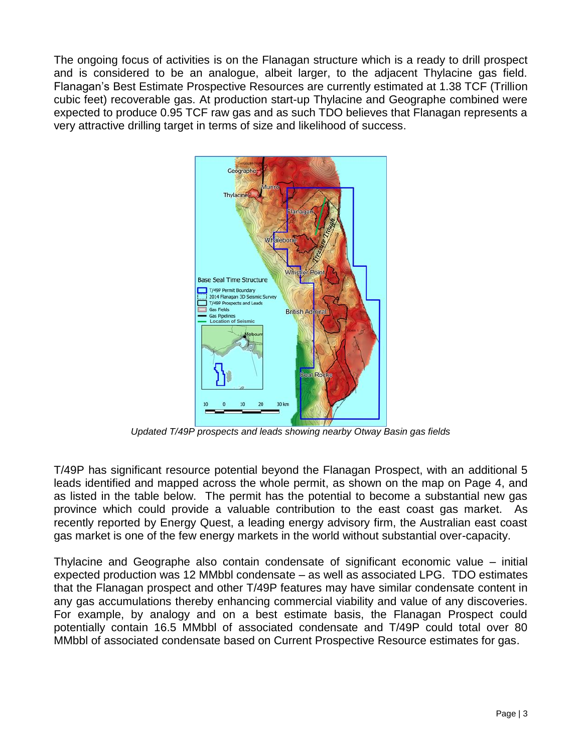The ongoing focus of activities is on the Flanagan structure which is a ready to drill prospect and is considered to be an analogue, albeit larger, to the adjacent Thylacine gas field. Flanagan's Best Estimate Prospective Resources are currently estimated at 1.38 TCF (Trillion cubic feet) recoverable gas. At production start-up Thylacine and Geographe combined were expected to produce 0.95 TCF raw gas and as such TDO believes that Flanagan represents a very attractive drilling target in terms of size and likelihood of success.



*Updated T/49P prospects and leads showing nearby Otway Basin gas fields*

T/49P has significant resource potential beyond the Flanagan Prospect, with an additional 5 leads identified and mapped across the whole permit, as shown on the map on Page 4, and as listed in the table below. The permit has the potential to become a substantial new gas province which could provide a valuable contribution to the east coast gas market. As recently reported by Energy Quest, a leading energy advisory firm, the Australian east coast gas market is one of the few energy markets in the world without substantial over-capacity.

Thylacine and Geographe also contain condensate of significant economic value – initial expected production was 12 MMbbl condensate – as well as associated LPG. TDO estimates that the Flanagan prospect and other T/49P features may have similar condensate content in any gas accumulations thereby enhancing commercial viability and value of any discoveries. For example, by analogy and on a best estimate basis, the Flanagan Prospect could potentially contain 16.5 MMbbl of associated condensate and T/49P could total over 80 MMbbl of associated condensate based on Current Prospective Resource estimates for gas.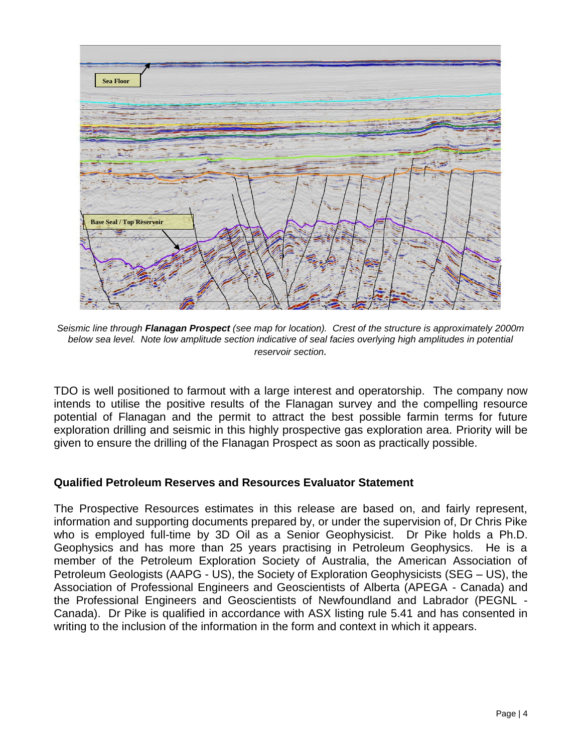

*Seismic line through Flanagan Prospect (see map for location). Crest of the structure is approximately 2000m*  below sea level. Note low amplitude section indicative of seal facies overlying high amplitudes in potential *reservoir section.*

TDO is well positioned to farmout with a large interest and operatorship. The company now intends to utilise the positive results of the Flanagan survey and the compelling resource potential of Flanagan and the permit to attract the best possible farmin terms for future exploration drilling and seismic in this highly prospective gas exploration area. Priority will be given to ensure the drilling of the Flanagan Prospect as soon as practically possible.

### **Qualified Petroleum Reserves and Resources Evaluator Statement**

The Prospective Resources estimates in this release are based on, and fairly represent, information and supporting documents prepared by, or under the supervision of, Dr Chris Pike who is employed full-time by 3D Oil as a Senior Geophysicist. Dr Pike holds a Ph.D. Geophysics and has more than 25 years practising in Petroleum Geophysics. He is a member of the Petroleum Exploration Society of Australia, the American Association of Petroleum Geologists (AAPG - US), the Society of Exploration Geophysicists (SEG – US), the Association of Professional Engineers and Geoscientists of Alberta (APEGA - Canada) and the Professional Engineers and Geoscientists of Newfoundland and Labrador (PEGNL - Canada). Dr Pike is qualified in accordance with ASX listing rule 5.41 and has consented in writing to the inclusion of the information in the form and context in which it appears.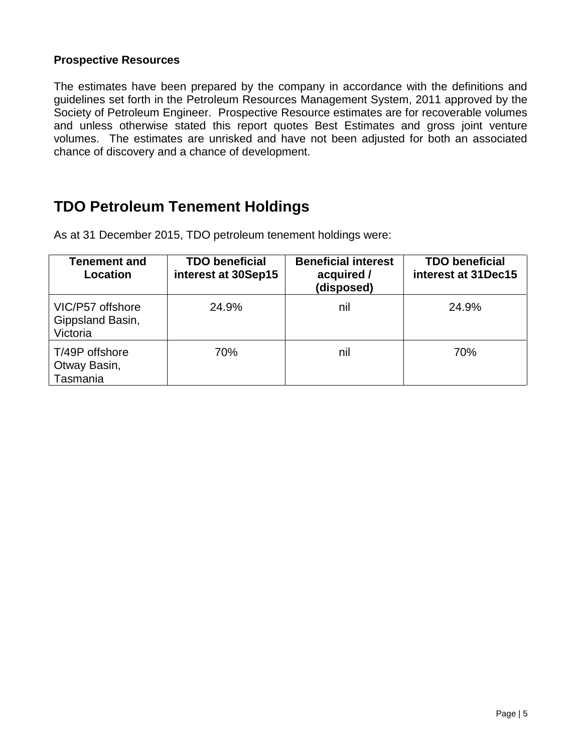#### **Prospective Resources**

The estimates have been prepared by the company in accordance with the definitions and guidelines set forth in the Petroleum Resources Management System, 2011 approved by the Society of Petroleum Engineer. Prospective Resource estimates are for recoverable volumes and unless otherwise stated this report quotes Best Estimates and gross joint venture volumes. The estimates are unrisked and have not been adjusted for both an associated chance of discovery and a chance of development.

# **TDO Petroleum Tenement Holdings**

As at 31 December 2015, TDO petroleum tenement holdings were:

| Tenement and<br>Location                         | <b>TDO beneficial</b><br>interest at 30Sep15 | <b>Beneficial interest</b><br>acquired /<br>(disposed) | <b>TDO beneficial</b><br>interest at 31Dec15 |
|--------------------------------------------------|----------------------------------------------|--------------------------------------------------------|----------------------------------------------|
| VIC/P57 offshore<br>Gippsland Basin,<br>Victoria | 24.9%                                        | nil                                                    | 24.9%                                        |
| T/49P offshore<br>Otway Basin,<br>Tasmania       | 70%                                          | nil                                                    | 70%                                          |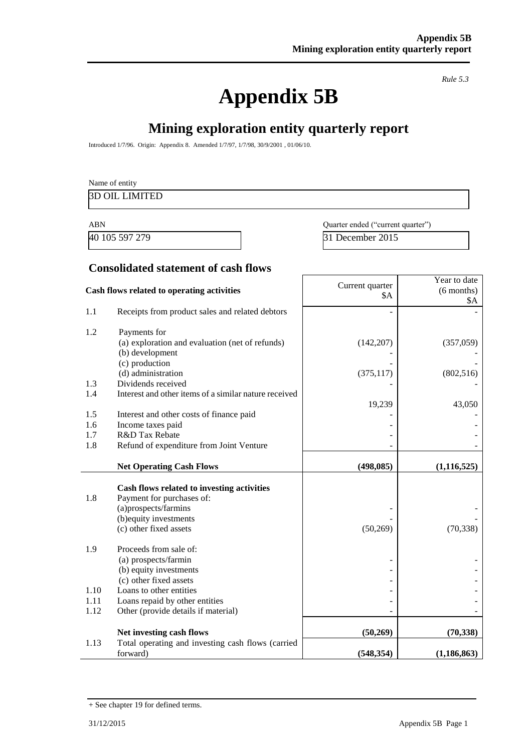# **Appendix 5B**

*Rule 5.3*

# **Mining exploration entity quarterly report**

Introduced 1/7/96. Origin: Appendix 8. Amended 1/7/97, 1/7/98, 30/9/2001 , 01/06/10.

|            | Name of entity                                                     |                                   |                                     |
|------------|--------------------------------------------------------------------|-----------------------------------|-------------------------------------|
|            | <b>3D OIL LIMITED</b>                                              |                                   |                                     |
| <b>ABN</b> |                                                                    | Quarter ended ("current quarter") |                                     |
|            | 40 105 597 279                                                     | 31 December 2015                  |                                     |
|            |                                                                    |                                   |                                     |
|            | <b>Consolidated statement of cash flows</b>                        |                                   |                                     |
|            | Cash flows related to operating activities                         | Current quarter<br>\$A            | Year to date<br>$(6$ months)<br>\$A |
| 1.1        | Receipts from product sales and related debtors                    |                                   |                                     |
| 1.2        | Payments for                                                       |                                   |                                     |
|            | (a) exploration and evaluation (net of refunds)<br>(b) development | (142, 207)                        | (357,059)                           |
|            | (c) production                                                     |                                   |                                     |
| 1.3        | (d) administration<br>Dividends received                           | (375, 117)                        | (802, 516)                          |
| 1.4        | Interest and other items of a similar nature received              |                                   |                                     |
|            |                                                                    | 19,239                            | 43,050                              |
| 1.5        | Interest and other costs of finance paid                           |                                   |                                     |
| 1.6        | Income taxes paid                                                  |                                   |                                     |
| 1.7        | R&D Tax Rebate                                                     |                                   |                                     |
| 1.8        | Refund of expenditure from Joint Venture                           |                                   |                                     |
|            |                                                                    |                                   |                                     |
|            | <b>Net Operating Cash Flows</b>                                    | (498, 085)                        | (1, 116, 525)                       |
|            | Cash flows related to investing activities                         |                                   |                                     |
| 1.8        | Payment for purchases of:                                          |                                   |                                     |
|            | (a)prospects/farmins                                               |                                   |                                     |
|            | (b) equity investments                                             |                                   |                                     |
|            | (c) other fixed assets                                             | (50,269)                          | (70, 338)                           |
| 1.9        | Proceeds from sale of:                                             |                                   |                                     |
|            | (a) prospects/farmin                                               |                                   |                                     |
|            | (b) equity investments                                             |                                   |                                     |
|            | (c) other fixed assets                                             |                                   |                                     |
| 1.10       | Loans to other entities                                            |                                   |                                     |
| 1.11       | Loans repaid by other entities                                     |                                   |                                     |
| 1.12       | Other (provide details if material)                                |                                   |                                     |
|            | Net investing cash flows                                           | (50,269)                          | (70, 338)                           |
| 1.13       | Total operating and investing cash flows (carried                  |                                   |                                     |
|            | forward)                                                           | (548, 354)                        | (1, 186, 863)                       |

<sup>+</sup> See chapter 19 for defined terms.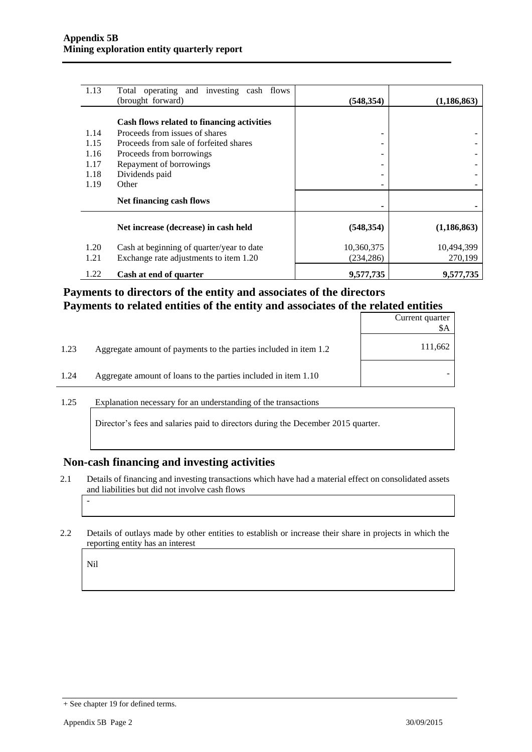| 1.13 | Total operating and investing cash flows<br>(brought forward) | (548, 354) | (1, 186, 863) |
|------|---------------------------------------------------------------|------------|---------------|
|      | Cash flows related to financing activities                    |            |               |
| 1.14 | Proceeds from issues of shares                                |            |               |
| 1.15 | Proceeds from sale of forfeited shares                        |            |               |
| 1.16 | Proceeds from borrowings                                      |            |               |
| 1.17 | Repayment of borrowings                                       |            |               |
| 1.18 | Dividends paid                                                |            |               |
| 1.19 | Other                                                         | ۰          |               |
|      | Net financing cash flows                                      |            |               |
|      | Net increase (decrease) in cash held                          | (548, 354) | (1, 186, 863) |
| 1.20 | Cash at beginning of quarter/year to date                     | 10,360,375 | 10,494,399    |
| 1.21 | Exchange rate adjustments to item 1.20                        | (234, 286) | 270,199       |
| 1.22 | Cash at end of quarter                                        | 9,577,735  | 9,577,735     |

### **Payments to directors of the entity and associates of the directors Payments to related entities of the entity and associates of the related entities**

|      |                                                                  | Current quarter<br>\$A |
|------|------------------------------------------------------------------|------------------------|
| 1.23 | Aggregate amount of payments to the parties included in item 1.2 | 111,662                |
| 1.24 | Aggregate amount of loans to the parties included in item 1.10   |                        |

1.25 Explanation necessary for an understanding of the transactions

Director's fees and salaries paid to directors during the December 2015 quarter.

#### **Non-cash financing and investing activities**

- 2.1 Details of financing and investing transactions which have had a material effect on consolidated assets and liabilities but did not involve cash flows
- 2.2 Details of outlays made by other entities to establish or increase their share in projects in which the reporting entity has an interest

Nil

-

<sup>+</sup> See chapter 19 for defined terms.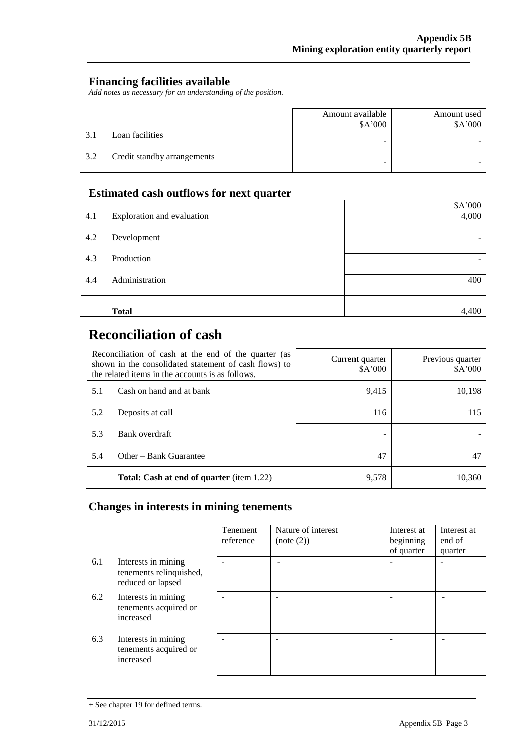### **Financing facilities available**

*Add notes as necessary for an understanding of the position.*

|     |                             | Amount available<br>\$A'000 | Amount used<br>\$A'000 |
|-----|-----------------------------|-----------------------------|------------------------|
| 3.1 | Loan facilities             | -                           |                        |
| 3.2 | Credit standby arrangements | -                           |                        |

### **Estimated cash outflows for next quarter**

|     | <b>Total</b>               | 4,400                    |
|-----|----------------------------|--------------------------|
| 4.4 | Administration             | 400                      |
| 4.3 | Production                 | $\overline{\phantom{0}}$ |
| 4.2 | Development                |                          |
| 4.1 | Exploration and evaluation | 4,000                    |
|     |                            | \$A'000                  |

# **Reconciliation of cash**

| Reconciliation of cash at the end of the quarter (as<br>shown in the consolidated statement of cash flows) to<br>the related items in the accounts is as follows. |                                                  | Current quarter<br>\$A'000 | Previous quarter<br>\$A'000 |
|-------------------------------------------------------------------------------------------------------------------------------------------------------------------|--------------------------------------------------|----------------------------|-----------------------------|
| 5.1                                                                                                                                                               | Cash on hand and at bank                         | 9,415                      | 10,198                      |
| 5.2                                                                                                                                                               | Deposits at call                                 | 116                        | 115                         |
| 5.3                                                                                                                                                               | Bank overdraft                                   |                            |                             |
| 5.4                                                                                                                                                               | Other – Bank Guarantee                           | 47                         |                             |
|                                                                                                                                                                   | <b>Total: Cash at end of quarter</b> (item 1.22) | 9,578                      | 10.360                      |

### **Changes in interests in mining tenements**

|     |                                                                     | Tenement<br>reference | Nature of interest<br>(note (2)) | Interest at<br>beginning<br>of quarter | Interest at<br>end of<br>quarter |
|-----|---------------------------------------------------------------------|-----------------------|----------------------------------|----------------------------------------|----------------------------------|
| 6.1 | Interests in mining<br>tenements relinquished,<br>reduced or lapsed |                       |                                  |                                        | $\overline{\phantom{0}}$         |
| 6.2 | Interests in mining<br>tenements acquired or<br>increased           |                       |                                  |                                        |                                  |
| 6.3 | Interests in mining<br>tenements acquired or<br>increased           |                       |                                  |                                        |                                  |

<sup>+</sup> See chapter 19 for defined terms.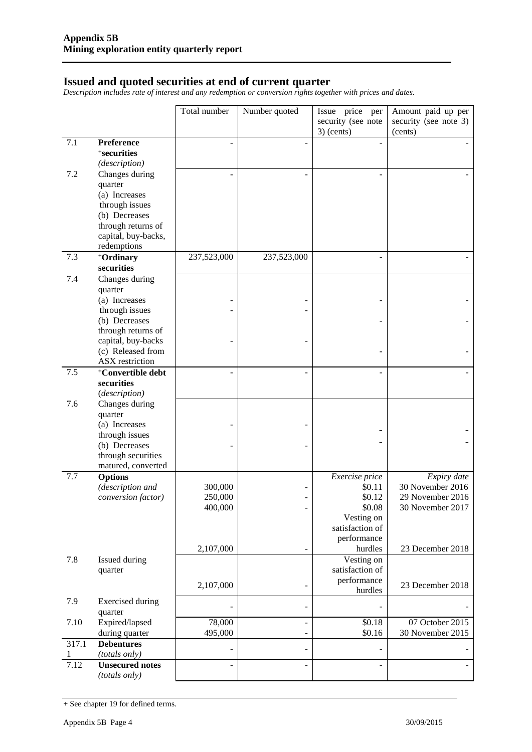#### **Issued and quoted securities at end of current quarter**

*Description includes rate of interest and any redemption or conversion rights together with prices and dates.*

|       |                                                                                                                                           | Total number                               | Number quoted                              | Issue price per                                                                                         | Amount paid up per                                                                          |
|-------|-------------------------------------------------------------------------------------------------------------------------------------------|--------------------------------------------|--------------------------------------------|---------------------------------------------------------------------------------------------------------|---------------------------------------------------------------------------------------------|
|       |                                                                                                                                           |                                            |                                            | security (see note<br>$3)$ (cents)                                                                      | security (see note 3)<br>(cents)                                                            |
| 7.1   | Preference<br><sup>+</sup> securities<br>(description)                                                                                    |                                            |                                            |                                                                                                         |                                                                                             |
| 7.2   | Changes during<br>quarter<br>(a) Increases<br>through issues<br>(b) Decreases<br>through returns of<br>capital, buy-backs,<br>redemptions |                                            |                                            |                                                                                                         |                                                                                             |
| 7.3   | +Ordinary<br>securities                                                                                                                   | 237,523,000                                | 237,523,000                                |                                                                                                         |                                                                                             |
| 7.4   | Changes during<br>quarter<br>(a) Increases<br>through issues<br>(b) Decreases<br>through returns of                                       |                                            |                                            |                                                                                                         |                                                                                             |
|       | capital, buy-backs<br>(c) Released from<br>ASX restriction                                                                                |                                            |                                            |                                                                                                         |                                                                                             |
| 7.5   | <sup>+</sup> Convertible debt<br>securities<br>(description)                                                                              |                                            |                                            |                                                                                                         |                                                                                             |
| 7.6   | Changes during<br>quarter<br>(a) Increases<br>through issues<br>(b) Decreases<br>through securities<br>matured, converted                 |                                            |                                            |                                                                                                         |                                                                                             |
| 7.7   | <b>Options</b><br>(description and<br>conversion factor)                                                                                  | 300,000<br>250,000<br>400,000<br>2,107,000 | $\overline{\phantom{0}}$                   | Exercise price<br>\$0.11<br>\$0.12<br>\$0.08<br>Vesting on<br>satisfaction of<br>performance<br>hurdles | Expiry date<br>30 November 2016<br>29 November 2016<br>30 November 2017<br>23 December 2018 |
| 7.8   | Issued during<br>quarter                                                                                                                  | 2,107,000                                  | $\overline{a}$                             | Vesting on<br>satisfaction of<br>performance<br>hurdles                                                 | 23 December 2018                                                                            |
| 7.9   | <b>Exercised</b> during<br>quarter                                                                                                        |                                            | $\overline{\phantom{0}}$                   |                                                                                                         |                                                                                             |
| 7.10  | Expired/lapsed<br>during quarter                                                                                                          | 78,000<br>495,000                          | $\overline{a}$<br>$\overline{\phantom{0}}$ | \$0.18<br>\$0.16                                                                                        | 07 October 2015<br>30 November 2015                                                         |
| 317.1 | <b>Debentures</b><br>(totals only)                                                                                                        |                                            | $\overline{\phantom{m}}$                   |                                                                                                         |                                                                                             |
| 7.12  | <b>Unsecured notes</b><br>(totals only)                                                                                                   |                                            |                                            |                                                                                                         |                                                                                             |

<sup>+</sup> See chapter 19 for defined terms.